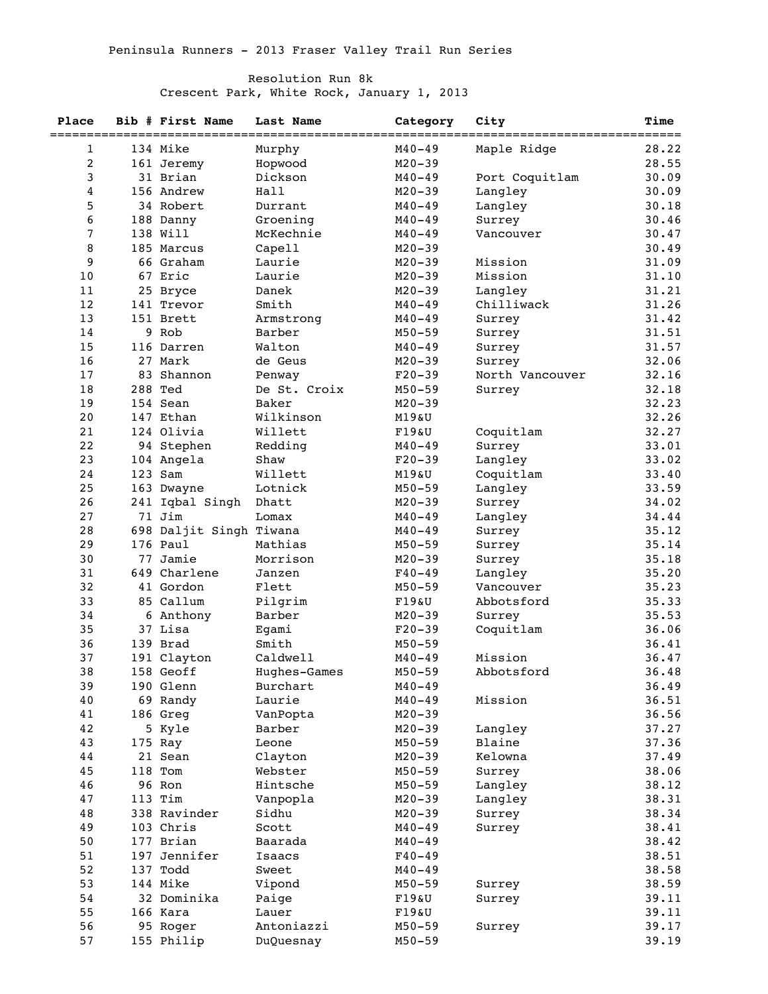## Resolution Run 8k

Crescent Park, White Rock, January 1, 2013

| Place | Bib # First Name<br>============= | Last Name<br>============= | Category                | City                            | <b>Time</b>    |
|-------|-----------------------------------|----------------------------|-------------------------|---------------------------------|----------------|
| 1     | 134 Mike                          | Murphy                     | =========<br>$M40 - 49$ | ================<br>Maple Ridge | =====<br>28.22 |
| 2     | 161 Jeremy                        | Hopwood                    | $M20 - 39$              |                                 | 28.55          |
| 3     | 31 Brian                          | Dickson                    | $M40 - 49$              | Port Coquitlam                  | 30.09          |
| 4     | 156 Andrew                        | Hall                       | $M20 - 39$              | Langley                         | 30.09          |
| 5     | 34 Robert                         | Durrant                    | $M40 - 49$              | Langley                         | 30.18          |
| 6     | 188 Danny                         | Groening                   | $M40 - 49$              | Surrey                          | 30.46          |
| 7     | 138 Will                          | McKechnie                  | $M40 - 49$              | Vancouver                       | 30.47          |
| 8     | 185 Marcus                        | Capell                     | $M20 - 39$              |                                 | 30.49          |
| 9     | 66 Graham                         | Laurie                     | $M20 - 39$              | Mission                         | 31.09          |
| 10    | 67 Eric                           | Laurie                     | $M20 - 39$              | Mission                         | 31.10          |
| 11    | 25 Bryce                          | Danek                      | $M20 - 39$              | Langley                         | 31.21          |
| 12    | 141 Trevor                        | Smith                      | $M40 - 49$              | Chilliwack                      | 31.26          |
| 13    | 151 Brett                         | Armstrong                  | $M40 - 49$              | Surrey                          | 31.42          |
| 14    | 9 Rob                             | Barber                     | $M50 - 59$              | Surrey                          | 31.51          |
| 15    | 116 Darren                        | Walton                     | $M40 - 49$              | Surrey                          | 31.57          |
| 16    | 27 Mark                           | de Geus                    | $M20 - 39$              | Surrey                          | 32.06          |
| 17    | 83 Shannon                        | Penway                     | $F20-39$                | North Vancouver                 | 32.16          |
| 18    | 288 Ted                           | De St. Croix               | $M50 - 59$              | Surrey                          | 32.18          |
| 19    | 154 Sean                          | Baker                      | $M20 - 39$              |                                 | 32.23          |
| 20    | 147 Ethan                         | Wilkinson                  | M19&U                   |                                 | 32.26          |
| 21    | 124 Olivia                        | Willett                    | F19&U                   | Coquitlam                       | 32.27          |
| 22    | 94 Stephen                        | Redding                    | M40-49                  | Surrey                          | 33.01          |
| 23    | 104 Angela                        | Shaw                       | $F20-39$                | Langley                         | 33.02          |
| 24    | 123 Sam                           | Willett                    | <b>M19&amp;U</b>        | Coquitlam                       | 33.40          |
| 25    | 163 Dwayne                        | Lotnick                    | $M50 - 59$              | Langley                         | 33.59          |
| 26    | 241 Iqbal Singh                   | Dhatt                      | $M20 - 39$              | Surrey                          | 34.02          |
| 27    | 71 Jim                            | Lomax                      | M40-49                  | Langley                         | 34.44          |
| 28    | 698 Daljit Singh Tiwana           |                            | $M40 - 49$              | Surrey                          | 35.12          |
| 29    | 176 Paul                          | Mathias                    | $M50 - 59$              | Surrey                          | 35.14          |
| 30    | 77 Jamie                          | Morrison                   | $M20 - 39$              | Surrey                          | 35.18          |
| 31    | 649 Charlene                      | Janzen                     | $F40 - 49$              | Langley                         | 35.20          |
| 32    | 41 Gordon                         | Flett                      | $M50 - 59$              | Vancouver                       | 35.23          |
| 33    | 85 Callum                         | Pilgrim                    | F19&U                   | Abbotsford                      | 35.33          |
| 34    | 6 Anthony                         | Barber                     | $M20 - 39$              | Surrey                          | 35.53          |
| 35    | 37 Lisa                           | Egami                      | $F20-39$                | Coquitlam                       | 36.06          |
| 36    | 139 Brad                          | Smith                      | $M50 - 59$              |                                 | 36.41          |
| 37    | 191 Clayton                       | Caldwell                   | $M40 - 49$              | Mission                         | 36.47          |
| 38    | 158 Geoff                         | Hughes-Games               | $M50 - 59$              | Abbotsford                      | 36.48          |
| 39    | 190 Glenn                         | Burchart                   | $M40 - 49$              |                                 | 36.49          |
| 40    | 69 Randy                          | Laurie                     | $M40 - 49$              | Mission                         | 36.51          |
| 41    | 186 Greg                          | VanPopta                   | $M20 - 39$              |                                 | 36.56          |
| 42    | 5 Kyle                            | Barber                     | $M20 - 39$              | Langley                         | 37.27          |
| 43    | 175 Ray                           | Leone                      | $M50 - 59$              | Blaine                          | 37.36          |
| 44    | 21 Sean                           | Clayton                    | $M20 - 39$              | Kelowna                         | 37.49          |
| 45    | 118 Tom                           | Webster                    | $M50 - 59$              | Surrey                          | 38.06          |
| 46    | 96 Ron                            | Hintsche                   | $M50 - 59$              | Langley                         | 38.12          |
| 47    | 113 Tim                           | Vanpopla                   | $M20 - 39$              | Langley                         | 38.31          |
| 48    | 338 Ravinder                      | Sidhu                      | $M20 - 39$              | Surrey                          | 38.34          |
| 49    | 103 Chris                         | Scott                      | $M40 - 49$              | Surrey                          | 38.41          |
| 50    | 177 Brian                         | Baarada                    | $M40 - 49$              |                                 | 38.42          |
| 51    | 197 Jennifer                      | Isaacs                     | $F40 - 49$              |                                 | 38.51          |
| 52    | 137 Todd                          | Sweet                      | $M40 - 49$              |                                 | 38.58          |
| 53    | 144 Mike                          | Vipond                     | $M50 - 59$              | Surrey                          | 38.59          |
| 54    | 32 Dominika                       | Paige                      | F19&U                   | Surrey                          | 39.11          |
| 55    | 166 Kara                          | Lauer                      | F19&U                   |                                 | 39.11          |
| 56    | 95 Roger                          | Antoniazzi                 | $M50 - 59$              | Surrey                          | 39.17          |
| 57    | 155 Philip                        | DuQuesnay                  | $M50 - 59$              |                                 | 39.19          |
|       |                                   |                            |                         |                                 |                |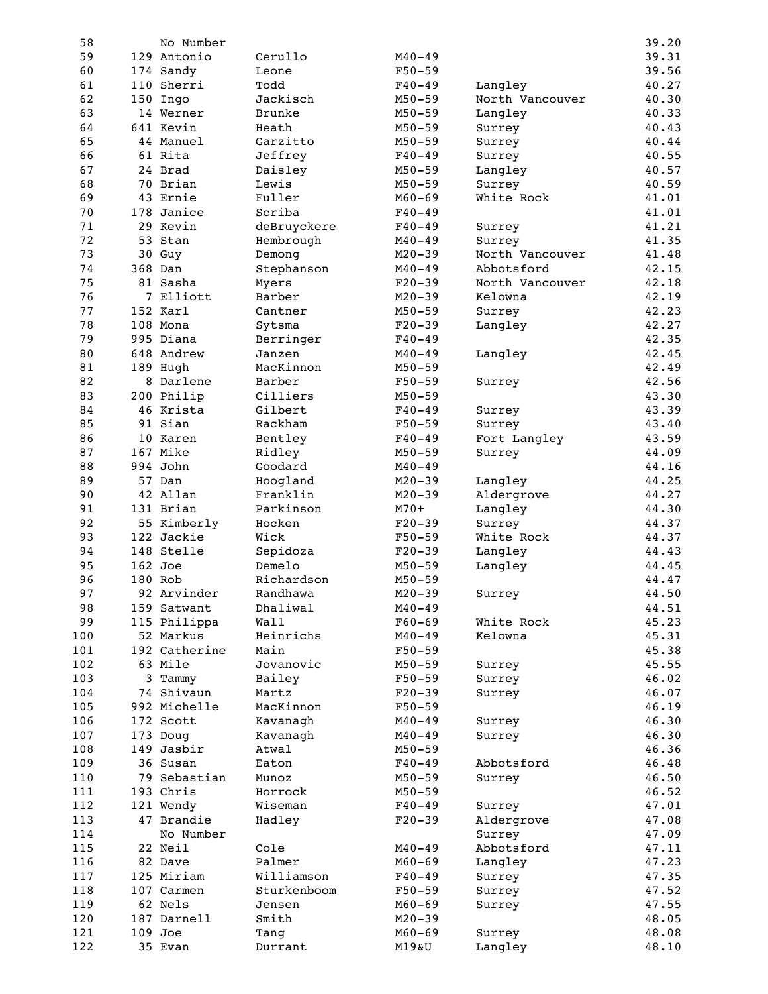| 58  | No Number     |               |            |                 | 39.20 |
|-----|---------------|---------------|------------|-----------------|-------|
| 59  | 129 Antonio   | Cerullo       | $M40 - 49$ |                 | 39.31 |
| 60  | 174 Sandy     | Leone         | $F50 - 59$ |                 | 39.56 |
| 61  | 110 Sherri    | Todd          | $F40 - 49$ | Langley         | 40.27 |
| 62  | 150 Ingo      | Jackisch      | $M50 - 59$ | North Vancouver | 40.30 |
| 63  | 14 Werner     | <b>Brunke</b> | $M50 - 59$ | Langley         | 40.33 |
| 64  | 641 Kevin     | Heath         | $M50 - 59$ | Surrey          | 40.43 |
| 65  | 44 Manuel     | Garzitto      | $M50 - 59$ | Surrey          | 40.44 |
| 66  | 61 Rita       | Jeffrey       | $F40 - 49$ | Surrey          | 40.55 |
| 67  | 24 Brad       | Daisley       | $M50 - 59$ | Langley         | 40.57 |
| 68  | 70 Brian      | Lewis         | $M50 - 59$ | Surrey          | 40.59 |
| 69  | 43 Ernie      | Fuller        | $M60 - 69$ | White Rock      | 41.01 |
| 70  | 178 Janice    | Scriba        | $F40 - 49$ |                 | 41.01 |
| 71  | 29 Kevin      | deBruyckere   | $F40 - 49$ | Surrey          | 41.21 |
| 72  | 53 Stan       | Hembrough     | $M40 - 49$ | Surrey          | 41.35 |
| 73  | 30 Guy        | Demong        | $M20 - 39$ | North Vancouver | 41.48 |
| 74  | 368 Dan       | Stephanson    | $M40 - 49$ | Abbotsford      | 42.15 |
| 75  | 81 Sasha      |               |            |                 |       |
|     |               | Myers         | $F20-39$   | North Vancouver | 42.18 |
| 76  | 7 Elliott     | Barber        | $M20 - 39$ | Kelowna         | 42.19 |
| 77  | 152 Karl      | Cantner       | $M50 - 59$ | Surrey          | 42.23 |
| 78  | 108 Mona      | Sytsma        | $F20-39$   | Langley         | 42.27 |
| 79  | 995 Diana     | Berringer     | $F40 - 49$ |                 | 42.35 |
| 80  | 648 Andrew    | Janzen        | $M40 - 49$ | Langley         | 42.45 |
| 81  | 189 Hugh      | MacKinnon     | $M50 - 59$ |                 | 42.49 |
| 82  | 8 Darlene     | Barber        | $F50 - 59$ | Surrey          | 42.56 |
| 83  | 200 Philip    | Cilliers      | $M50 - 59$ |                 | 43.30 |
| 84  | 46 Krista     | Gilbert       | $F40 - 49$ | Surrey          | 43.39 |
| 85  | 91 Sian       | Rackham       | $F50 - 59$ | Surrey          | 43.40 |
| 86  | 10 Karen      | Bentley       | $F40 - 49$ | Fort Langley    | 43.59 |
| 87  | 167 Mike      | Ridley        | $M50 - 59$ | Surrey          | 44.09 |
| 88  | 994 John      | Goodard       | $M40 - 49$ |                 | 44.16 |
| 89  | 57 Dan        | Hoogland      | $M20 - 39$ | Langley         | 44.25 |
| 90  | 42 Allan      | Franklin      | $M20 - 39$ | Aldergrove      | 44.27 |
| 91  | 131 Brian     | Parkinson     | $M70+$     | Langley         | 44.30 |
| 92  | 55 Kimberly   | Hocken        | $F20-39$   | Surrey          | 44.37 |
| 93  | 122 Jackie    | Wick          | $F50 - 59$ | White Rock      | 44.37 |
| 94  | 148 Stelle    | Sepidoza      | $F20-39$   | Langley         | 44.43 |
| 95  | $162$ Joe     | Demelo        | $M50 - 59$ | Langley         | 44.45 |
| 96  | 180 Rob       | Richardson    | $M50 - 59$ |                 | 44.47 |
| 97  | 92 Arvinder   | Randhawa      | $M20 - 39$ | Surrey          | 44.50 |
| 98  |               | Dhaliwal      | $M40 - 49$ |                 | 44.51 |
|     | 159 Satwant   |               |            |                 |       |
| 99  | 115 Philippa  | Wall          | $F60 - 69$ | White Rock      | 45.23 |
| 100 | 52 Markus     | Heinrichs     | $M40 - 49$ | Kelowna         | 45.31 |
| 101 | 192 Catherine | Main          | $F50 - 59$ |                 | 45.38 |
| 102 | 63 Mile       | Jovanovic     | $M50 - 59$ | Surrey          | 45.55 |
| 103 | 3 Tammy       | Bailey        | $F50 - 59$ | Surrey          | 46.02 |
| 104 | 74 Shivaun    | Martz         | $F20-39$   | Surrey          | 46.07 |
| 105 | 992 Michelle  | MacKinnon     | $F50 - 59$ |                 | 46.19 |
| 106 | 172 Scott     | Kavanagh      | $M40 - 49$ | Surrey          | 46.30 |
| 107 | 173 Doug      | Kavanagh      | $M40 - 49$ | Surrey          | 46.30 |
| 108 | 149 Jasbir    | Atwal         | $M50 - 59$ |                 | 46.36 |
| 109 | 36 Susan      | Eaton         | $F40 - 49$ | Abbotsford      | 46.48 |
| 110 | 79 Sebastian  | Munoz         | $M50 - 59$ | Surrey          | 46.50 |
| 111 | 193 Chris     | Horrock       | $M50 - 59$ |                 | 46.52 |
| 112 | 121 Wendy     | Wiseman       | $F40 - 49$ | Surrey          | 47.01 |
| 113 | 47 Brandie    | Hadley        | $F20-39$   | Aldergrove      | 47.08 |
| 114 | No Number     |               |            | Surrey          | 47.09 |
| 115 | 22 Neil       | Cole          | $M40 - 49$ | Abbotsford      | 47.11 |
| 116 | 82 Dave       | Palmer        | $M60 - 69$ | Langley         | 47.23 |
| 117 | 125 Miriam    | Williamson    | $F40 - 49$ | Surrey          | 47.35 |
| 118 | 107 Carmen    | Sturkenboom   | $F50 - 59$ | Surrey          | 47.52 |
| 119 | 62 Nels       | Jensen        | $M60 - 69$ | Surrey          | 47.55 |
| 120 | 187 Darnell   | Smith         | $M20 - 39$ |                 | 48.05 |
| 121 | 109 Joe       |               |            |                 |       |
|     |               | Tang          | $M60 - 69$ | Surrey          | 48.08 |
| 122 | 35 Evan       | Durrant       | M19&U      | Langley         | 48.10 |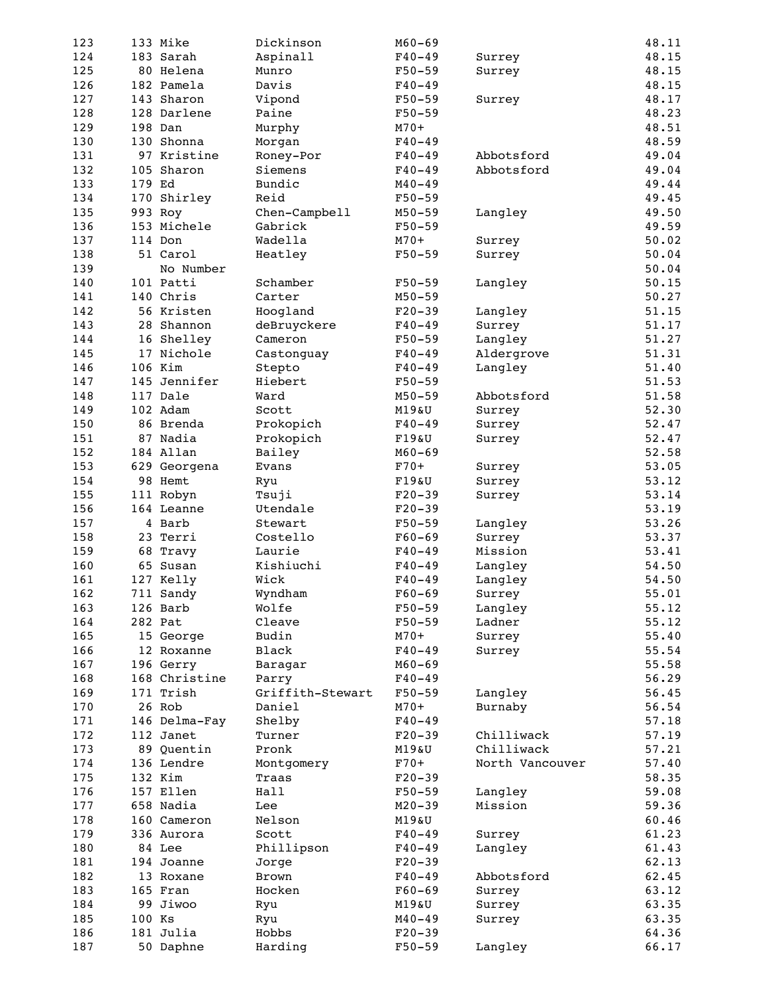| 123 |        | 133 Mike      | Dickinson             | $M60 - 69$ |                 | 48.11 |
|-----|--------|---------------|-----------------------|------------|-----------------|-------|
| 124 |        | 183 Sarah     | Aspinall              | $F40 - 49$ | Surrey          | 48.15 |
| 125 |        | 80 Helena     | Munro                 | $F50 - 59$ | Surrey          | 48.15 |
| 126 |        | 182 Pamela    | Davis                 | $F40 - 49$ |                 | 48.15 |
| 127 |        | 143 Sharon    | Vipond                | $F50 - 59$ |                 | 48.17 |
|     |        |               |                       | $F50 - 59$ | Surrey          |       |
| 128 |        | 128 Darlene   | Paine                 |            |                 | 48.23 |
| 129 |        | 198 Dan       | Murphy                | $M70+$     |                 | 48.51 |
| 130 |        | 130 Shonna    | Morgan                | $F40 - 49$ |                 | 48.59 |
| 131 |        | 97 Kristine   | Roney-Por             | $F40 - 49$ | Abbotsford      | 49.04 |
| 132 |        | 105 Sharon    | Siemens               | $F40-49$   | Abbotsford      | 49.04 |
| 133 | 179 Ed |               | Bundic                | $M40 - 49$ |                 | 49.44 |
| 134 |        | 170 Shirley   | Reid                  | $F50 - 59$ |                 | 49.45 |
| 135 |        | 993 Roy       | Chen-Campbell         | $M50 - 59$ | Langley         | 49.50 |
| 136 |        | 153 Michele   | Gabrick               | $F50 - 59$ |                 | 49.59 |
| 137 |        | 114 Don       | Wadella               | $M70+$     | Surrey          | 50.02 |
| 138 |        | 51 Carol      | Heatley               | $F50 - 59$ | Surrey          | 50.04 |
| 139 |        | No Number     |                       |            |                 | 50.04 |
| 140 |        | 101 Patti     | Schamber              | $F50 - 59$ |                 | 50.15 |
|     |        |               |                       |            | Langley         |       |
| 141 |        | 140 Chris     | Carter                | $M50 - 59$ |                 | 50.27 |
| 142 |        | 56 Kristen    | Hoogland              | $F20-39$   | Langley         | 51.15 |
| 143 |        | 28 Shannon    | deBruyckere           | $F40 - 49$ | Surrey          | 51.17 |
| 144 |        | 16 Shelley    | Cameron               | $F50 - 59$ | Langley         | 51.27 |
| 145 |        | 17 Nichole    | Castonguay            | $F40 - 49$ | Aldergrove      | 51.31 |
| 146 |        | 106 Kim       | Stepto                | $F40 - 49$ | Langley         | 51.40 |
| 147 |        | 145 Jennifer  | Hiebert               | $F50-59$   |                 | 51.53 |
| 148 |        | 117 Dale      | Ward                  | $M50 - 59$ | Abbotsford      | 51.58 |
| 149 |        | 102 Adam      | Scott                 | M19&U      | Surrey          | 52.30 |
| 150 |        | 86 Brenda     | Prokopich             | $F40 - 49$ | Surrey          | 52.47 |
| 151 |        | 87 Nadia      | Prokopich             | F19&U      | Surrey          | 52.47 |
| 152 |        | 184 Allan     | Bailey                | $M60 - 69$ |                 | 52.58 |
| 153 |        | 629 Georgena  | Evans                 | $F70+$     |                 | 53.05 |
|     |        |               |                       |            | Surrey          |       |
| 154 |        | 98 Hemt       | Ryu                   | F19&U      | Surrey          | 53.12 |
| 155 |        | 111 Robyn     | Tsuji                 | $F20-39$   | Surrey          | 53.14 |
| 156 |        | 164 Leanne    | Utendale              | $F20-39$   |                 | 53.19 |
| 157 |        | 4 Barb        | Stewart               | $F50-59$   | Langley         | 53.26 |
| 158 |        | 23 Terri      | Costello              | $F60 - 69$ | Surrey          | 53.37 |
| 159 |        | 68 Travy      | Laurie                | $F40 - 49$ | Mission         | 53.41 |
| 160 |        | 65 Susan      | Kishiuchi             | $F40-49$   | Langley         | 54.50 |
| 161 |        | 127 Kelly     | Wick                  | $F40 - 49$ | Langley         | 54.50 |
| 162 |        | 711 Sandy     | Wyndham               | $F60-69$   | Surrey          | 55.01 |
| 163 |        | 126 Barb      | Wolfe                 | $F50 - 59$ | Langley         | 55.12 |
| 164 |        | 282 Pat       | Cleave                | $F50 - 59$ | Ladner          | 55.12 |
| 165 |        | 15 George     | Budin                 | $M70+$     | Surrey          | 55.40 |
| 166 |        | 12 Roxanne    | Black                 | $F40 - 49$ | Surrey          | 55.54 |
| 167 |        | 196 Gerry     | Baragar               | $M60 - 69$ |                 | 55.58 |
|     |        | 168 Christine |                       |            |                 | 56.29 |
| 168 |        |               | Parry                 | $F40-49$   |                 |       |
| 169 |        | 171 Trish     | Griffith-Stewart      | $F50 - 59$ | Langley         | 56.45 |
| 170 |        | 26 Rob        | Daniel                | $M70+$     | Burnaby         | 56.54 |
| 171 |        | 146 Delma-Fay | Shelby                | $F40 - 49$ |                 | 57.18 |
| 172 |        | 112 Janet     | Turner                | $F20-39$   | Chilliwack      | 57.19 |
| 173 |        | 89 Quentin    | Pronk                 | M19&U      | Chilliwack      | 57.21 |
| 174 |        | 136 Lendre    | Montgomery            | $F70+$     | North Vancouver | 57.40 |
| 175 |        | 132 Kim       | Traas                 | $F20-39$   |                 | 58.35 |
| 176 |        | 157 Ellen     | Hall                  | $F50 - 59$ | Langley         | 59.08 |
| 177 |        | 658 Nadia     | Lee                   | $M20 - 39$ | Mission         | 59.36 |
| 178 |        | 160 Cameron   | Nelson                | M19&U      |                 | 60.46 |
| 179 |        | 336 Aurora    | Scott                 | $F40 - 49$ | Surrey          | 61.23 |
| 180 |        | 84 Lee        | Phillipson            | $F40 - 49$ | Langley         | 61.43 |
| 181 |        | 194 Joanne    |                       | $F20-39$   |                 | 62.13 |
| 182 |        | 13 Roxane     | Jorge<br><b>Brown</b> |            | Abbotsford      | 62.45 |
|     |        |               |                       | $F40 - 49$ |                 |       |
| 183 |        | 165 Fran      | Hocken                | $F60-69$   | Surrey          | 63.12 |
| 184 |        | 99 Jiwoo      | Ryu                   | M19&U      | Surrey          | 63.35 |
| 185 | 100 Ks |               | Ryu                   | $M40 - 49$ | Surrey          | 63.35 |
| 186 |        | 181 Julia     | Hobbs                 | $F20-39$   |                 | 64.36 |
| 187 |        | 50 Daphne     | Harding               | $F50 - 59$ | Langley         | 66.17 |